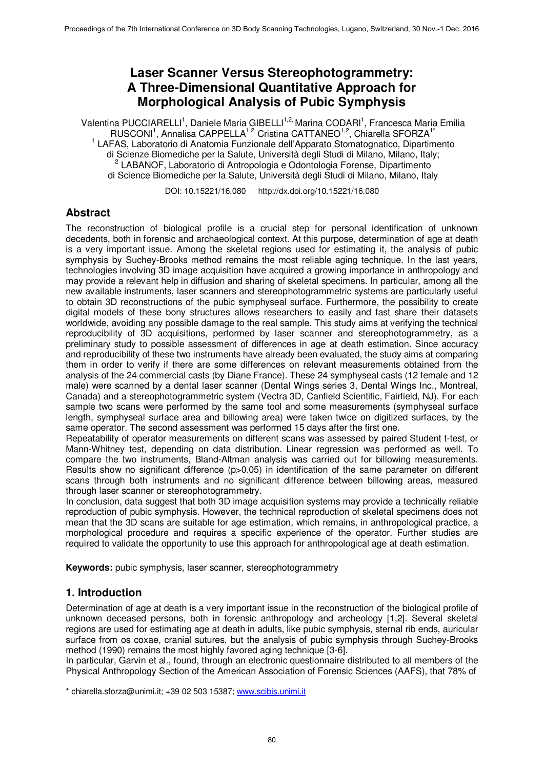# **Laser Scanner Versus Stereophotogrammetry: A Three-Dimensional Quantitative Approach for Morphological Analysis of Pubic Symphysis**

Valentina PUCCIARELLI<sup>1</sup>, Daniele Maria GIBELLI<sup>1,2,</sup> Marina CODARI<sup>1</sup>, Francesca Maria Emilia RUSCONI<sup>1</sup>, Annalisa CAPPELLA<sup>1,2,</sup> Cristina CATTANEO<sup>1,2</sup>, Chiarella SFORZA<sup>1\*</sup> <sup>1</sup> LAFAS, Laboratorio di Anatomia Funzionale dell'Apparato Stomatognatico, Dipartimento di Scienze Biomediche per la Salute, Università degli Studi di Milano, Milano, Italy; 2 LABANOF, Laboratorio di Antropologia e Odontologia Forense, Dipartimento di Science Biomediche per la Salute, Università degli Studi di Milano, Milano, Italy

DOI: 10.15221/16.080 http://dx.doi.org/10.15221/16.080

# **Abstract**

The reconstruction of biological profile is a crucial step for personal identification of unknown decedents, both in forensic and archaeological context. At this purpose, determination of age at death is a very important issue. Among the skeletal regions used for estimating it, the analysis of pubic symphysis by Suchey-Brooks method remains the most reliable aging technique. In the last years, technologies involving 3D image acquisition have acquired a growing importance in anthropology and may provide a relevant help in diffusion and sharing of skeletal specimens. In particular, among all the new available instruments, laser scanners and stereophotogrammetric systems are particularly useful to obtain 3D reconstructions of the pubic symphyseal surface. Furthermore, the possibility to create digital models of these bony structures allows researchers to easily and fast share their datasets worldwide, avoiding any possible damage to the real sample. This study aims at verifying the technical reproducibility of 3D acquisitions, performed by laser scanner and stereophotogrammetry, as a preliminary study to possible assessment of differences in age at death estimation. Since accuracy and reproducibility of these two instruments have already been evaluated, the study aims at comparing them in order to verify if there are some differences on relevant measurements obtained from the analysis of the 24 commercial casts (by Diane France). These 24 symphyseal casts (12 female and 12 male) were scanned by a dental laser scanner (Dental Wings series 3, Dental Wings Inc., Montreal, Canada) and a stereophotogrammetric system (Vectra 3D, Canfield Scientific, Fairfield, NJ). For each sample two scans were performed by the same tool and some measurements (symphyseal surface length, symphyseal surface area and billowing area) were taken twice on digitized surfaces, by the same operator. The second assessment was performed 15 days after the first one.

Repeatability of operator measurements on different scans was assessed by paired Student t-test, or Mann-Whitney test, depending on data distribution. Linear regression was performed as well. To compare the two instruments, Bland-Altman analysis was carried out for billowing measurements. Results show no significant difference (p>0.05) in identification of the same parameter on different scans through both instruments and no significant difference between billowing areas, measured through laser scanner or stereophotogrammetry.

In conclusion, data suggest that both 3D image acquisition systems may provide a technically reliable reproduction of pubic symphysis. However, the technical reproduction of skeletal specimens does not mean that the 3D scans are suitable for age estimation, which remains, in anthropological practice, a morphological procedure and requires a specific experience of the operator. Further studies are required to validate the opportunity to use this approach for anthropological age at death estimation.

**Keywords:** pubic symphysis, laser scanner, stereophotogrammetry

# **1. Introduction**

Determination of age at death is a very important issue in the reconstruction of the biological profile of unknown deceased persons, both in forensic anthropology and archeology [1,2]. Several skeletal regions are used for estimating age at death in adults, like pubic symphysis, sternal rib ends, auricular surface from os coxae, cranial sutures, but the analysis of pubic symphysis through Suchey-Brooks method (1990) remains the most highly favored aging technique [3-6].

In particular, Garvin et al., found, through an electronic questionnaire distributed to all members of the Physical Anthropology Section of the American Association of Forensic Sciences (AAFS), that 78% of

\* chiarella.sforza@unimi.it; +39 02 503 15387; www.scibis.unimi.it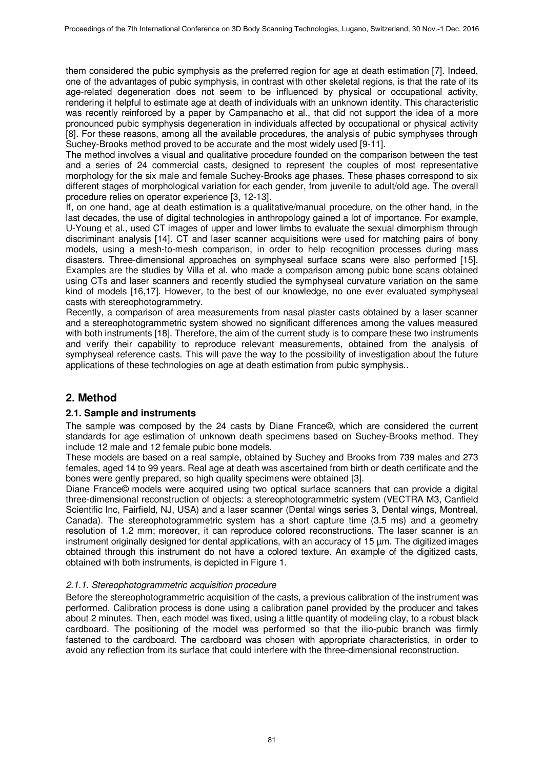them considered the pubic symphysis as the preferred region for age at death estimation [7]. Indeed, one of the advantages of pubic symphysis, in contrast with other skeletal regions, is that the rate of its age-related degeneration does not seem to be influenced by physical or occupational activity, rendering it helpful to estimate age at death of individuals with an unknown identity. This characteristic was recently reinforced by a paper by Campanacho et al., that did not support the idea of a more pronounced pubic symphysis degeneration in individuals affected by occupational or physical activity [8]. For these reasons, among all the available procedures, the analysis of pubic symphyses through Suchey-Brooks method proved to be accurate and the most widely used [9-11].

The method involves a visual and qualitative procedure founded on the comparison between the test and a series of 24 commercial casts, designed to represent the couples of most representative morphology for the six male and female Suchey-Brooks age phases. These phases correspond to six different stages of morphological variation for each gender, from juvenile to adult/old age. The overall procedure relies on operator experience [3, 12-13].

If, on one hand, age at death estimation is a qualitative/manual procedure, on the other hand, in the last decades, the use of digital technologies in anthropology gained a lot of importance. For example, U-Young et al., used CT images of upper and lower limbs to evaluate the sexual dimorphism through discriminant analysis [14]. CT and laser scanner acquisitions were used for matching pairs of bony models, using a mesh-to-mesh comparison, in order to help recognition processes during mass disasters. Three-dimensional approaches on symphyseal surface scans were also performed [15]. Examples are the studies by Villa et al. who made a comparison among pubic bone scans obtained using CTs and laser scanners and recently studied the symphyseal curvature variation on the same kind of models [16,17]. However, to the best of our knowledge, no one ever evaluated symphyseal casts with stereophotogrammetry.

Recently, a comparison of area measurements from nasal plaster casts obtained by a laser scanner and a stereophotogrammetric system showed no significant differences among the values measured with both instruments [18]. Therefore, the aim of the current study is to compare these two instruments and verify their capability to reproduce relevant measurements, obtained from the analysis of symphyseal reference casts. This will pave the way to the possibility of investigation about the future applications of these technologies on age at death estimation from pubic symphysis..

# **2. Method**

#### **2.1. Sample and instruments**

The sample was composed by the 24 casts by Diane France©, which are considered the current standards for age estimation of unknown death specimens based on Suchey-Brooks method. They include 12 male and 12 female pubic bone models.

These models are based on a real sample, obtained by Suchey and Brooks from 739 males and 273 females, aged 14 to 99 years. Real age at death was ascertained from birth or death certificate and the bones were gently prepared, so high quality specimens were obtained [3].

Diane France© models were acquired using two optical surface scanners that can provide a digital three-dimensional reconstruction of objects: a stereophotogrammetric system (VECTRA M3, Canfield Scientific Inc, Fairfield, NJ, USA) and a laser scanner (Dental wings series 3, Dental wings, Montreal, Canada). The stereophotogrammetric system has a short capture time (3.5 ms) and a geometry resolution of 1.2 mm; moreover, it can reproduce colored reconstructions. The laser scanner is an instrument originally designed for dental applications, with an accuracy of 15 µm. The digitized images obtained through this instrument do not have a colored texture. An example of the digitized casts, obtained with both instruments, is depicted in Figure 1.

#### 2.1.1. Stereophotogrammetric acquisition procedure

Before the stereophotogrammetric acquisition of the casts, a previous calibration of the instrument was performed. Calibration process is done using a calibration panel provided by the producer and takes about 2 minutes. Then, each model was fixed, using a little quantity of modeling clay, to a robust black cardboard. The positioning of the model was performed so that the ilio-pubic branch was firmly fastened to the cardboard. The cardboard was chosen with appropriate characteristics, in order to avoid any reflection from its surface that could interfere with the three-dimensional reconstruction.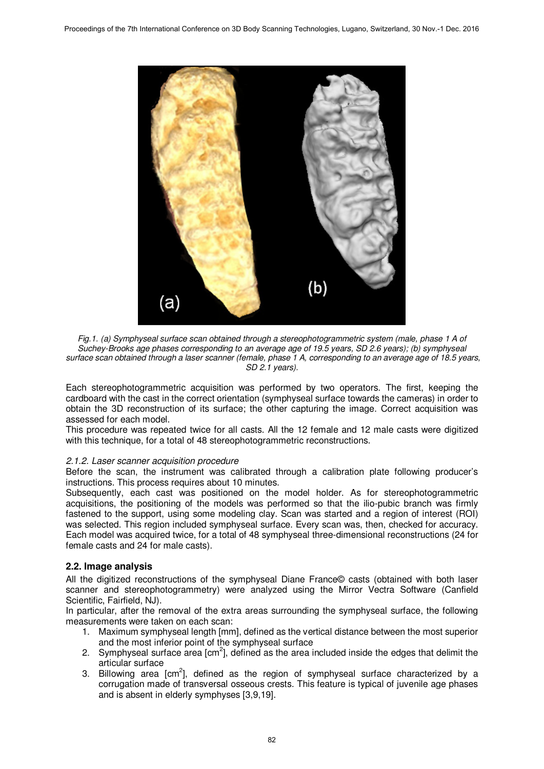

Fig.1. (a) Symphyseal surface scan obtained through a stereophotogrammetric system (male, phase 1 A of Suchey-Brooks age phases corresponding to an average age of 19.5 years, SD 2.6 years); (b) symphyseal surface scan obtained through a laser scanner (female, phase 1 A, corresponding to an average age of 18.5 years, SD 2.1 years).

Each stereophotogrammetric acquisition was performed by two operators. The first, keeping the cardboard with the cast in the correct orientation (symphyseal surface towards the cameras) in order to obtain the 3D reconstruction of its surface; the other capturing the image. Correct acquisition was assessed for each model.

This procedure was repeated twice for all casts. All the 12 female and 12 male casts were digitized with this technique, for a total of 48 stereophotogrammetric reconstructions.

#### 2.1.2. Laser scanner acquisition procedure

Before the scan, the instrument was calibrated through a calibration plate following producer's instructions. This process requires about 10 minutes.

Subsequently, each cast was positioned on the model holder. As for stereophotogrammetric acquisitions, the positioning of the models was performed so that the ilio-pubic branch was firmly fastened to the support, using some modeling clay. Scan was started and a region of interest (ROI) was selected. This region included symphyseal surface. Every scan was, then, checked for accuracy. Each model was acquired twice, for a total of 48 symphyseal three-dimensional reconstructions (24 for female casts and 24 for male casts).

#### **2.2. Image analysis**

All the digitized reconstructions of the symphyseal Diane France© casts (obtained with both laser scanner and stereophotogrammetry) were analyzed using the Mirror Vectra Software (Canfield Scientific, Fairfield, NJ).

In particular, after the removal of the extra areas surrounding the symphyseal surface, the following measurements were taken on each scan:

- 1. Maximum symphyseal length [mm], defined as the vertical distance between the most superior and the most inferior point of the symphyseal surface
- 2. Symphyseal surface area  $[cm^2]$ , defined as the area included inside the edges that delimit the articular surface
- 3. Billowing area  $[cm^2]$ , defined as the region of symphyseal surface characterized by a corrugation made of transversal osseous crests. This feature is typical of juvenile age phases and is absent in elderly symphyses [3,9,19].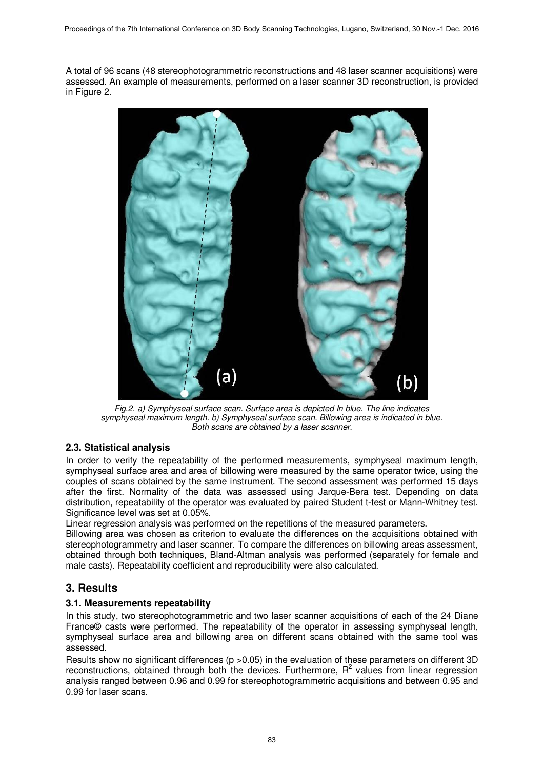A total of 96 scans (48 stereophotogrammetric reconstructions and 48 laser scanner acquisitions) were assessed. An example of measurements, performed on a laser scanner 3D reconstruction, is provided in Figure 2.



Fig.2. a) Symphyseal surface scan. Surface area is depicted In blue. The line indicates symphyseal maximum length. b) Symphyseal surface scan. Billowing area is indicated in blue. Both scans are obtained by a laser scanner.

### **2.3. Statistical analysis**

In order to verify the repeatability of the performed measurements, symphyseal maximum length, symphyseal surface area and area of billowing were measured by the same operator twice, using the couples of scans obtained by the same instrument. The second assessment was performed 15 days after the first. Normality of the data was assessed using Jarque-Bera test. Depending on data distribution, repeatability of the operator was evaluated by paired Student t-test or Mann-Whitney test. Significance level was set at 0.05%.

Linear regression analysis was performed on the repetitions of the measured parameters.

Billowing area was chosen as criterion to evaluate the differences on the acquisitions obtained with stereophotogrammetry and laser scanner. To compare the differences on billowing areas assessment, obtained through both techniques, Bland-Altman analysis was performed (separately for female and male casts). Repeatability coefficient and reproducibility were also calculated.

# **3. Results**

### **3.1. Measurements repeatability**

In this study, two stereophotogrammetric and two laser scanner acquisitions of each of the 24 Diane France© casts were performed. The repeatability of the operator in assessing symphyseal length, symphyseal surface area and billowing area on different scans obtained with the same tool was assessed.

Results show no significant differences (p > 0.05) in the evaluation of these parameters on different 3D reconstructions, obtained through both the devices. Furthermore,  $R<sup>2</sup>$  values from linear regression analysis ranged between 0.96 and 0.99 for stereophotogrammetric acquisitions and between 0.95 and 0.99 for laser scans.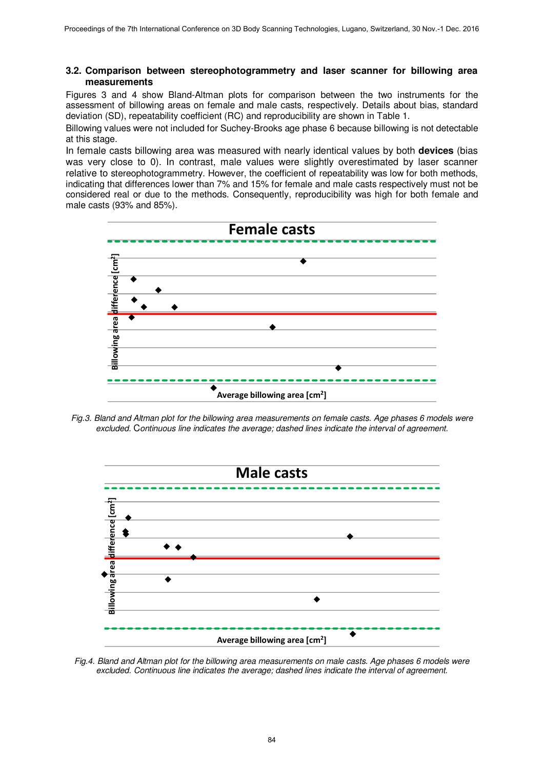#### **3.2. Comparison between stereophotogrammetry and laser scanner for billowing area measurements**

Figures 3 and 4 show Bland-Altman plots for comparison between the two instruments for the assessment of billowing areas on female and male casts, respectively. Details about bias, standard deviation (SD), repeatability coefficient (RC) and reproducibility are shown in Table 1.

Billowing values were not included for Suchey-Brooks age phase 6 because billowing is not detectable at this stage.

In female casts billowing area was measured with nearly identical values by both **devices** (bias was very close to 0). In contrast, male values were slightly overestimated by laser scanner relative to stereophotogrammetry. However, the coefficient of repeatability was low for both methods, indicating that differences lower than 7% and 15% for female and male casts respectively must not be considered real or due to the methods. Consequently, reproducibility was high for both female and male casts (93% and 85%).



Fig.3. Bland and Altman plot for the billowing area measurements on female casts. Age phases 6 models were excluded. Continuous line indicates the average; dashed lines indicate the interval of agreement.



Fig.4. Bland and Altman plot for the billowing area measurements on male casts. Age phases 6 models were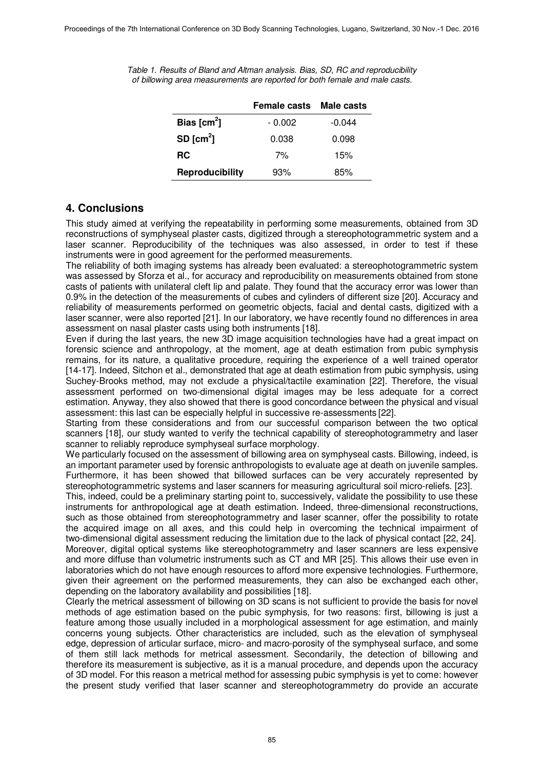Table 1. Results of Bland and Altman analysis. Bias, SD, RC and reproducibility of billowing area measurements are reported for both female and male casts.

|                        | <b>Female casts</b> | <b>Male casts</b> |
|------------------------|---------------------|-------------------|
| Bias $[cm2]$           | $-0.002$            | $-0.044$          |
| SD $[cm^2]$            | 0.038               | 0.098             |
| <b>RC</b>              | 7%                  | 15%               |
| <b>Reproducibility</b> | 93%                 | 85%               |

# **4. Conclusions**

This study aimed at verifying the repeatability in performing some measurements, obtained from 3D reconstructions of symphyseal plaster casts, digitized through a stereophotogrammetric system and a laser scanner. Reproducibility of the techniques was also assessed, in order to test if these instruments were in good agreement for the performed measurements.

The reliability of both imaging systems has already been evaluated: a stereophotogrammetric system was assessed by Sforza et al., for accuracy and reproducibility on measurements obtained from stone casts of patients with unilateral cleft lip and palate. They found that the accuracy error was lower than 0.9% in the detection of the measurements of cubes and cylinders of different size [20]. Accuracy and reliability of measurements performed on geometric objects, facial and dental casts, digitized with a laser scanner, were also reported [21]. In our laboratory, we have recently found no differences in area assessment on nasal plaster casts using both instruments [18].

Even if during the last years, the new 3D image acquisition technologies have had a great impact on forensic science and anthropology, at the moment, age at death estimation from pubic symphysis remains, for its nature, a qualitative procedure, requiring the experience of a well trained operator [14-17]. Indeed, Sitchon et al., demonstrated that age at death estimation from pubic symphysis, using Suchey-Brooks method, may not exclude a physical/tactile examination [22]. Therefore, the visual assessment performed on two-dimensional digital images may be less adequate for a correct estimation. Anyway, they also showed that there is good concordance between the physical and visual assessment: this last can be especially helpful in successive re-assessments [22].

Starting from these considerations and from our successful comparison between the two optical scanners [18], our study wanted to verify the technical capability of stereophotogrammetry and laser scanner to reliably reproduce symphyseal surface morphology.

We particularly focused on the assessment of billowing area on symphyseal casts. Billowing, indeed, is an important parameter used by forensic anthropologists to evaluate age at death on juvenile samples. Furthermore, it has been showed that billowed surfaces can be very accurately represented by stereophotogrammetric systems and laser scanners for measuring agricultural soil micro-reliefs. [23].

This, indeed, could be a preliminary starting point to, successively, validate the possibility to use these instruments for anthropological age at death estimation. Indeed, three-dimensional reconstructions, such as those obtained from stereophotogrammetry and laser scanner, offer the possibility to rotate the acquired image on all axes, and this could help in overcoming the technical impairment of two-dimensional digital assessment reducing the limitation due to the lack of physical contact [22, 24]. Moreover, digital optical systems like stereophotogrammetry and laser scanners are less expensive and more diffuse than volumetric instruments such as CT and MR [25]. This allows their use even in laboratories which do not have enough resources to afford more expensive technologies. Furthermore, given their agreement on the performed measurements, they can also be exchanged each other, depending on the laboratory availability and possibilities [18].

Clearly the metrical assessment of billowing on 3D scans is not sufficient to provide the basis for novel methods of age estimation based on the pubic symphysis, for two reasons: first, billowing is just a feature among those usually included in a morphological assessment for age estimation, and mainly concerns young subjects. Other characteristics are included, such as the elevation of symphyseal edge, depression of articular surface, micro- and macro-porosity of the symphyseal surface, and some of them still lack methods for metrical assessment. Secondarily, the detection of billowing and therefore its measurement is subjective, as it is a manual procedure, and depends upon the accuracy of 3D model. For this reason a metrical method for assessing pubic symphysis is yet to come: however the present study verified that laser scanner and stereophotogrammetry do provide an accurate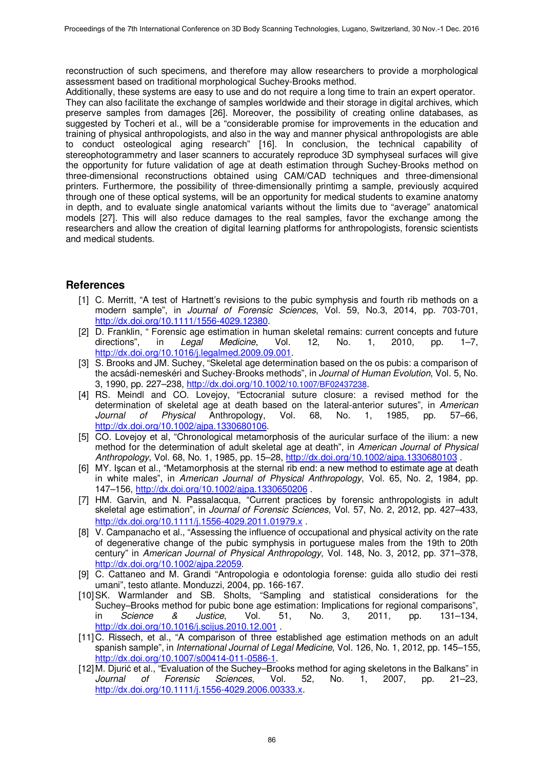reconstruction of such specimens, and therefore may allow researchers to provide a morphological assessment based on traditional morphological Suchey-Brooks method.

Additionally, these systems are easy to use and do not require a long time to train an expert operator. They can also facilitate the exchange of samples worldwide and their storage in digital archives, which preserve samples from damages [26]. Moreover, the possibility of creating online databases, as suggested by Tocheri et al., will be a "considerable promise for improvements in the education and training of physical anthropologists, and also in the way and manner physical anthropologists are able to conduct osteological aging research" [16]. In conclusion, the technical capability of stereophotogrammetry and laser scanners to accurately reproduce 3D symphyseal surfaces will give the opportunity for future validation of age at death estimation through Suchey-Brooks method on three-dimensional reconstructions obtained using CAM/CAD techniques and three-dimensional printers. Furthermore, the possibility of three-dimensionally printimg a sample, previously acquired through one of these optical systems, will be an opportunity for medical students to examine anatomy in depth, and to evaluate single anatomical variants without the limits due to "average" anatomical models [27]. This will also reduce damages to the real samples, favor the exchange among the researchers and allow the creation of digital learning platforms for anthropologists, forensic scientists and medical students.

### **References**

- [1] C. Merritt, "A test of Hartnett's revisions to the pubic symphysis and fourth rib methods on a modern sample", in Journal of Forensic Sciences, Vol. 59, No.3, 2014, pp. 703-701, http://dx.doi.org/10.1111/1556-4029.12380.
- [2] D. Franklin, " Forensic age estimation in human skeletal remains: current concepts and future directions", in Legal Medicine, Vol. 12, No. 1, 2010, pp. 1–7, http://dx.doi.org/10.1016/j.legalmed.2009.09.001.
- [3] S. Brooks and JM. Suchey, "Skeletal age determination based on the os pubis: a comparison of the acsádi-nemeskéri and Suchey-Brooks methods", in Journal of Human Evolution, Vol. 5, No. 3, 1990, pp. 227–238, http://dx.doi.org/10.1002/10.1007/BF02437238.
- [4] RS. Meindl and CO. Lovejoy, "Ectocranial suture closure: a revised method for the determination of skeletal age at death based on the lateral-anterior sutures", in American<br>
Journal of Physical Anthropology. Vol. 68. No. 1. 1985. pp. 57–66. Journal of Physical Anthropology, Vol. 68, No. 1, 1985, pp. http://dx.doi.org/10.1002/ajpa.1330680106.
- [5] CO. Lovejoy et al, "Chronological metamorphosis of the auricular surface of the ilium: a new method for the determination of adult skeletal age at death", in American Journal of Physical Anthropology, Vol. 68, No. 1, 1985, pp. 15-28, http://dx.doi.org/10.1002/ajpa.1330680103.
- [6] MY. Işcan et al., "Metamorphosis at the sternal rib end: a new method to estimate age at death in white males", in American Journal of Physical Anthropology, Vol. 65, No. 2, 1984, pp. 147–156, http://dx.doi.org/10.1002/ajpa.1330650206 .
- [7] HM. Garvin, and N. Passalacqua, "Current practices by forensic anthropologists in adult skeletal age estimation", in Journal of Forensic Sciences, Vol. 57, No. 2, 2012, pp. 427–433, http://dx.doi.org/10.1111/j.1556-4029.2011.01979.x.
- [8] V. Campanacho et al., "Assessing the influence of occupational and physical activity on the rate of degenerative change of the pubic symphysis in portuguese males from the 19th to 20th century" in American Journal of Physical Anthropology, Vol. 148, No. 3, 2012, pp. 371–378, http://dx.doi.org/10.1002/ajpa.22059.
- [9] C. Cattaneo and M. Grandi "Antropologia e odontologia forense: guida allo studio dei resti umani", testo atlante. Monduzzi, 2004, pp. 166-167.
- [10] SK. Warmlander and SB. Sholts, "Sampling and statistical considerations for the Suchey–Brooks method for pubic bone age estimation: Implications for regional comparisons",<br>in Science & Justice, Vol. 51, No. 3. 2011. pp. 131–134. in *Science & Justice*, Vol. 51, No. 3, 2011, pp. 131–134, http://<u>dx.doi.org/10.1016/j.scijus.2010.12.001</u>.
- [11] C. Rissech, et al., "A comparison of three established age estimation methods on an adult spanish sample", in International Journal of Legal Medicine, Vol. 126, No. 1, 2012, pp. 145–155, http://dx.doi.org/10.1007/s00414-011-0586-1.
- [12] M. Djurić et al., "Evaluation of the Suchey–Brooks method for aging skeletons in the Balkans" in Journal of Forensic Sciences, Vol. 52, No. 1, 2007, pp. 21–23, http://dx.doi.org/10.1111/j.1556-4029.2006.00333.x.